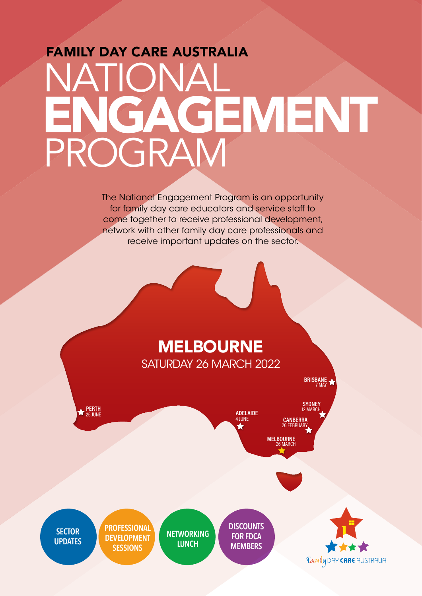## FAMILY DAY CARE AUSTRALIA<br>NATIONAL NATIONAL PROGRAM ENGAGEMENT

The National Engagement Program is an opportunity for family day care educators and service staff to come together to receive professional development, network with other family day care professionals and receive important updates on the sector.

## MELBOURNE